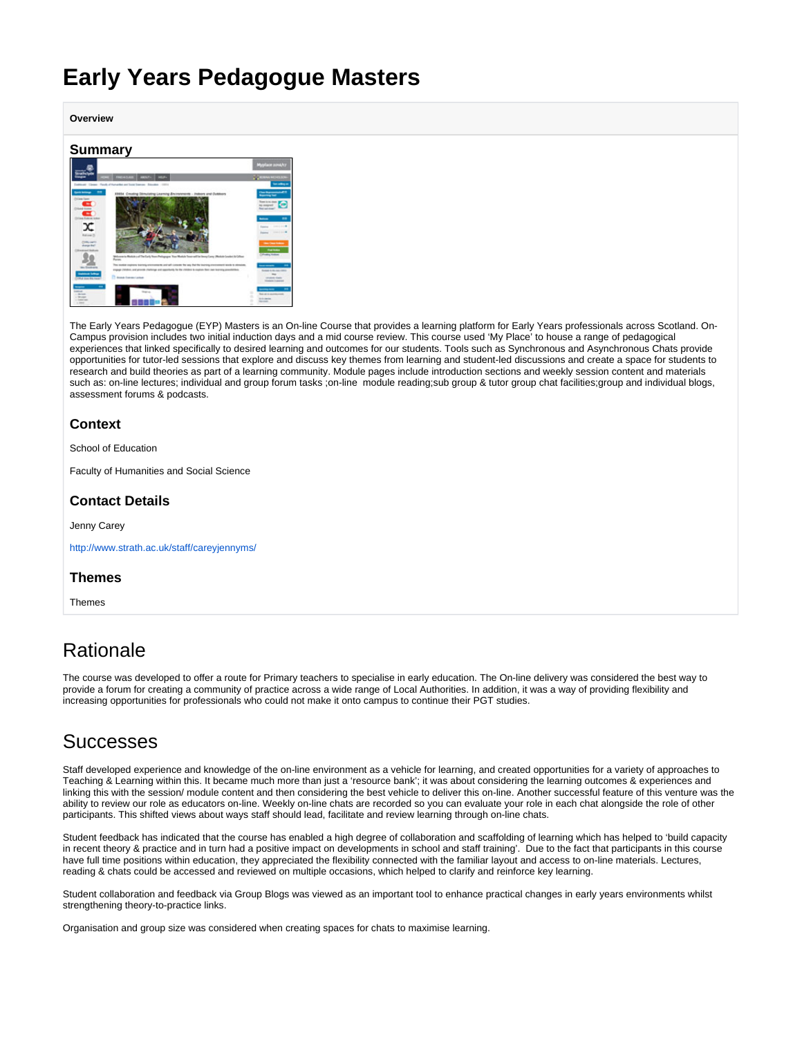# <span id="page-0-0"></span>**Early Years Pedagogue Masters**

**Overview Summary** an x

The Early Years Pedagogue (EYP) Masters is an On-line Course that provides a learning platform for Early Years professionals across Scotland. On-Campus provision includes two initial induction days and a mid course review. This course used 'My Place' to house a range of pedagogical experiences that linked specifically to desired learning and outcomes for our students. Tools such as Synchronous and Asynchronous Chats provide opportunities for tutor-led sessions that explore and discuss key themes from learning and student-led discussions and create a space for students to research and build theories as part of a learning community. Module pages include introduction sections and weekly session content and materials such as: on-line lectures; individual and group forum tasks ;on-line module reading;sub group & tutor group chat facilities;group and individual blogs, assessment forums & podcasts.

#### **Context**

School of Education

Faculty of Humanities and Social Science

### **Contact Details**

Jenny Carey

<http://www.strath.ac.uk/staff/careyjennyms/>

#### **Themes**

Themes

# Rationale

The course was developed to offer a route for Primary teachers to specialise in early education. The On-line delivery was considered the best way to provide a forum for creating a community of practice across a wide range of Local Authorities. In addition, it was a way of providing flexibility and increasing opportunities for professionals who could not make it onto campus to continue their PGT studies.

### **Successes**

Staff developed experience and knowledge of the on-line environment as a vehicle for learning, and created opportunities for a variety of approaches to Teaching & Learning within this. It became much more than just a 'resource bank'; it was about considering the learning outcomes & experiences and linking this with the session/ module content and then considering the best vehicle to deliver this on-line. Another successful feature of this venture was the ability to review our role as educators on-line. Weekly on-line chats are recorded so you can evaluate your role in each chat alongside the role of other participants. This shifted views about ways staff should lead, facilitate and review learning through on-line chats.

Student feedback has indicated that the course has enabled a high degree of collaboration and scaffolding of learning which has helped to 'build capacity in recent theory & practice and in turn had a positive impact on developments in school and staff training'. Due to the fact that participants in this course have full time positions within education, they appreciated the flexibility connected with the familiar layout and access to on-line materials. Lectures, reading & chats could be accessed and reviewed on multiple occasions, which helped to clarify and reinforce key learning.

Student collaboration and feedback via Group Blogs was viewed as an important tool to enhance practical changes in early years environments whilst strengthening theory-to-practice links.

Organisation and group size was considered when creating spaces for chats to maximise learning.